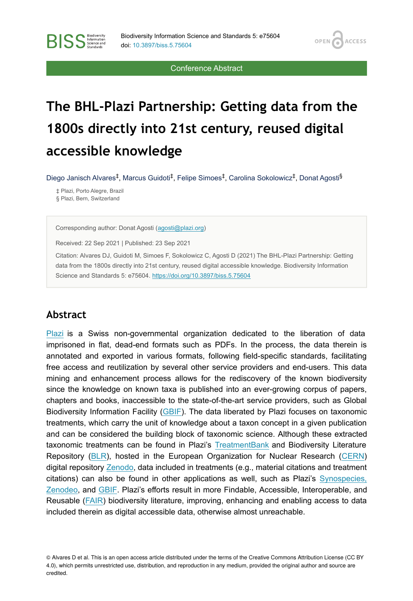OPEN<sub>6</sub>

**ACCESS** 

Conference Abstract

# **The BHL-Plazi Partnership: Getting data from the 1800s directly into 21st century, reused digital accessible knowledge**

Diego Janisch Alvares<sup>‡</sup>, Marcus Guidoti<sup>‡</sup>, Felipe Simoes<sup>‡</sup>, Carolina Sokolowicz<sup>‡</sup>, Donat Agosti<sup>§</sup>

‡ Plazi, Porto Alegre, Brazil § Plazi, Bern, Switzerland

**BISS** Steince and

Corresponding author: Donat Agosti ([agosti@plazi.org\)](mailto:agosti@plazi.org)

Received: 22 Sep 2021 | Published: 23 Sep 2021

Citation: Alvares DJ, Guidoti M, Simoes F, Sokolowicz C, Agosti D (2021) The BHL-Plazi Partnership: Getting data from the 1800s directly into 21st century, reused digital accessible knowledge. Biodiversity Information Science and Standards 5: e75604.<https://doi.org/10.3897/biss.5.75604>

### **Abstract**

[Plazi](http://plazi.org) is a Swiss non-governmental organization dedicated to the liberation of data imprisoned in flat, dead-end formats such as PDFs. In the process, the data therein is annotated and exported in various formats, following field-specific standards, facilitating free access and reutilization by several other service providers and end-users. This data mining and enhancement process allows for the rediscovery of the known biodiversity since the knowledge on known taxa is published into an ever-growing corpus of papers, chapters and books, inaccessible to the state-of-the-art service providers, such as Global Biodiversity Information Facility [\(GBIF](https://www.gbif.org/)). The data liberated by Plazi focuses on taxonomic treatments, which carry the unit of knowledge about a taxon concept in a given publication and can be considered the building block of taxonomic science. Although these extracted taxonomic treatments can be found in Plazi's [TreatmentBank](http://treatmentbank.org/) and Biodiversity Literature Repository [\(BLR\)](https://zenodo.org/communities/biosyslit/?page=1&size=20), hosted in the European Organization for Nuclear Research ([CERN](https://home.cern/)) digital repository [Zenodo](https://zenodo.org/), data included in treatments (e.g., material citations and treatment citations) can also be found in other applications as well, such as Plazi's [Synospecies,](https://synospecies.plazi.org/) [Zenodeo,](https://zenodeo.org/about) and [GBIF.](https://www.gbif.org/) Plazi's efforts result in more Findable, Accessible, Interoperable, and Reusable ([FAIR\)](https://www.force11.org/group/fairgroup/fairprinciples) biodiversity literature, improving, enhancing and enabling access to data included therein as digital accessible data, otherwise almost unreachable.

<sup>©</sup> Alvares D et al. This is an open access article distributed under the terms of the Creative Commons Attribution License (CC BY 4.0), which permits unrestricted use, distribution, and reproduction in any medium, provided the original author and source are credited.